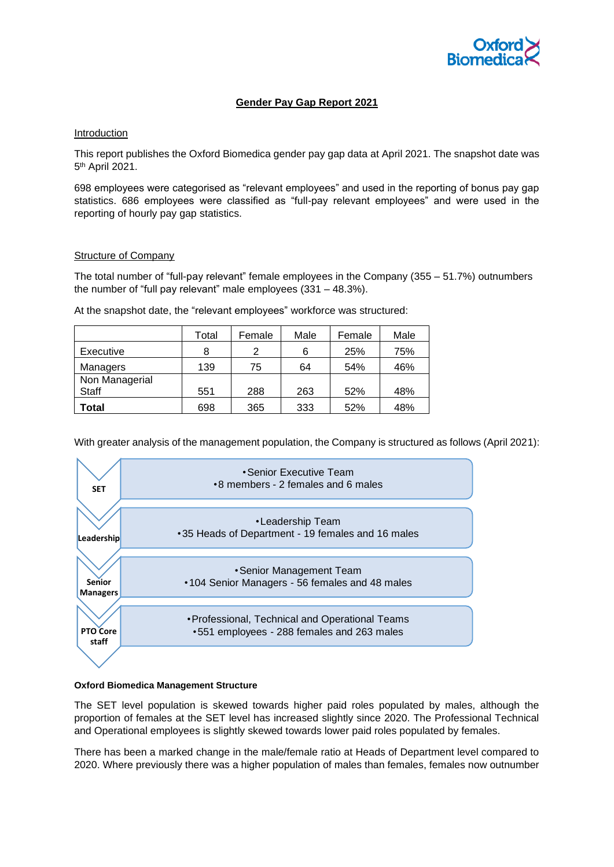

# **Gender Pay Gap Report 2021**

## Introduction

This report publishes the Oxford Biomedica gender pay gap data at April 2021. The snapshot date was 5<sup>th</sup> April 2021.

698 employees were categorised as "relevant employees" and used in the reporting of bonus pay gap statistics. 686 employees were classified as "full-pay relevant employees" and were used in the reporting of hourly pay gap statistics.

## Structure of Company

The total number of "full-pay relevant" female employees in the Company (355 – 51.7%) outnumbers the number of "full pay relevant" male employees (331 – 48.3%).

At the snapshot date, the "relevant employees" workforce was structured:

|                | Total | Female | Male | Female | Male |
|----------------|-------|--------|------|--------|------|
| Executive      | 8     | 2      | 6    | 25%    | 75%  |
| Managers       | 139   | 75     | 64   | 54%    | 46%  |
| Non Managerial |       |        |      |        |      |
| Staff          | 551   | 288    | 263  | 52%    | 48%  |
| Total          | 698   | 365    | 333  | 52%    | 48%  |

With greater analysis of the management population, the Company is structured as follows (April 2021):



## **Oxford Biomedica Management Structure**

The SET level population is skewed towards higher paid roles populated by males, although the proportion of females at the SET level has increased slightly since 2020. The Professional Technical and Operational employees is slightly skewed towards lower paid roles populated by females.

There has been a marked change in the male/female ratio at Heads of Department level compared to 2020. Where previously there was a higher population of males than females, females now outnumber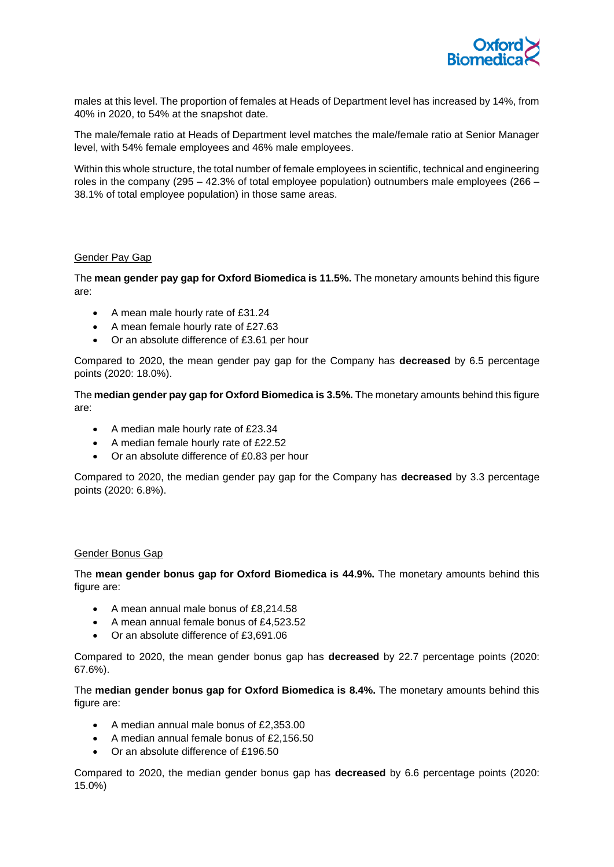

males at this level. The proportion of females at Heads of Department level has increased by 14%, from 40% in 2020, to 54% at the snapshot date.

The male/female ratio at Heads of Department level matches the male/female ratio at Senior Manager level, with 54% female employees and 46% male employees.

Within this whole structure, the total number of female employees in scientific, technical and engineering roles in the company (295 – 42.3% of total employee population) outnumbers male employees (266 – 38.1% of total employee population) in those same areas.

## Gender Pay Gap

The **mean gender pay gap for Oxford Biomedica is 11.5%.** The monetary amounts behind this figure are:

- A mean male hourly rate of £31.24
- A mean female hourly rate of £27.63
- Or an absolute difference of £3.61 per hour

Compared to 2020, the mean gender pay gap for the Company has **decreased** by 6.5 percentage points (2020: 18.0%).

The **median gender pay gap for Oxford Biomedica is 3.5%.** The monetary amounts behind this figure are:

- A median male hourly rate of £23.34
- A median female hourly rate of £22.52
- Or an absolute difference of £0.83 per hour

Compared to 2020, the median gender pay gap for the Company has **decreased** by 3.3 percentage points (2020: 6.8%).

## Gender Bonus Gap

The **mean gender bonus gap for Oxford Biomedica is 44.9%.** The monetary amounts behind this figure are:

- A mean annual male bonus of £8,214.58
- A mean annual female bonus of £4,523.52
- Or an absolute difference of £3,691.06

Compared to 2020, the mean gender bonus gap has **decreased** by 22.7 percentage points (2020: 67.6%).

The **median gender bonus gap for Oxford Biomedica is 8.4%.** The monetary amounts behind this figure are:

- A median annual male bonus of £2,353.00
- A median annual female bonus of £2,156.50
- Or an absolute difference of £196.50

Compared to 2020, the median gender bonus gap has **decreased** by 6.6 percentage points (2020: 15.0%)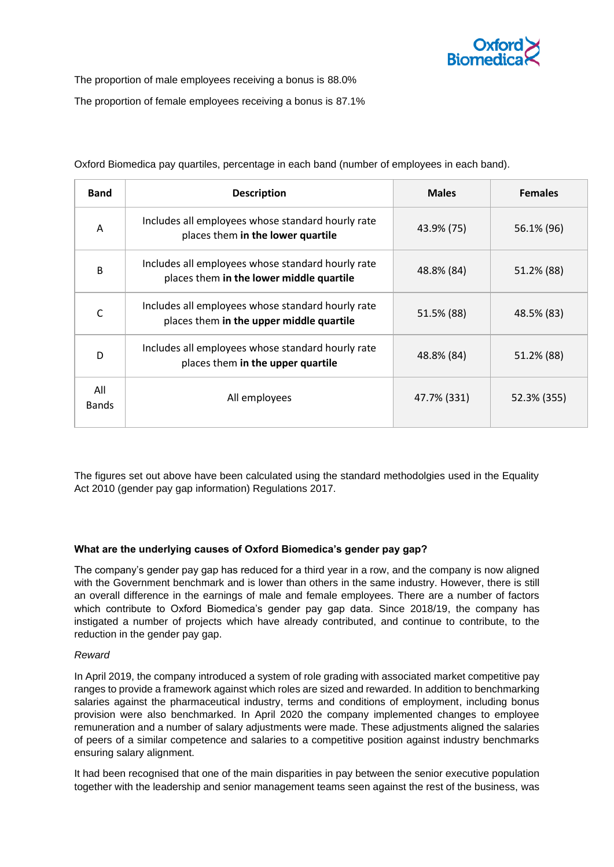

The proportion of male employees receiving a bonus is 88.0%

The proportion of female employees receiving a bonus is 87.1%

| <b>Band</b>         | <b>Description</b>                                                                            | <b>Males</b> | <b>Females</b> |  |
|---------------------|-----------------------------------------------------------------------------------------------|--------------|----------------|--|
| A                   | Includes all employees whose standard hourly rate<br>places them in the lower quartile        | 43.9% (75)   | 56.1% (96)     |  |
| B                   | Includes all employees whose standard hourly rate<br>places them in the lower middle quartile | 48.8% (84)   | 51.2% (88)     |  |
|                     | Includes all employees whose standard hourly rate<br>places them in the upper middle quartile | 51.5% (88)   | 48.5% (83)     |  |
| D                   | Includes all employees whose standard hourly rate<br>places them in the upper quartile        | 48.8% (84)   | 51.2% (88)     |  |
| All<br><b>Bands</b> | All employees                                                                                 | 47.7% (331)  | 52.3% (355)    |  |

Oxford Biomedica pay quartiles, percentage in each band (number of employees in each band).

The figures set out above have been calculated using the standard methodolgies used in the Equality Act 2010 (gender pay gap information) Regulations 2017.

# **What are the underlying causes of Oxford Biomedica's gender pay gap?**

The company's gender pay gap has reduced for a third year in a row, and the company is now aligned with the Government benchmark and is lower than others in the same industry. However, there is still an overall difference in the earnings of male and female employees. There are a number of factors which contribute to Oxford Biomedica's gender pay gap data. Since 2018/19, the company has instigated a number of projects which have already contributed, and continue to contribute, to the reduction in the gender pay gap.

# *Reward*

In April 2019, the company introduced a system of role grading with associated market competitive pay ranges to provide a framework against which roles are sized and rewarded. In addition to benchmarking salaries against the pharmaceutical industry, terms and conditions of employment, including bonus provision were also benchmarked. In April 2020 the company implemented changes to employee remuneration and a number of salary adjustments were made. These adjustments aligned the salaries of peers of a similar competence and salaries to a competitive position against industry benchmarks ensuring salary alignment.

It had been recognised that one of the main disparities in pay between the senior executive population together with the leadership and senior management teams seen against the rest of the business, was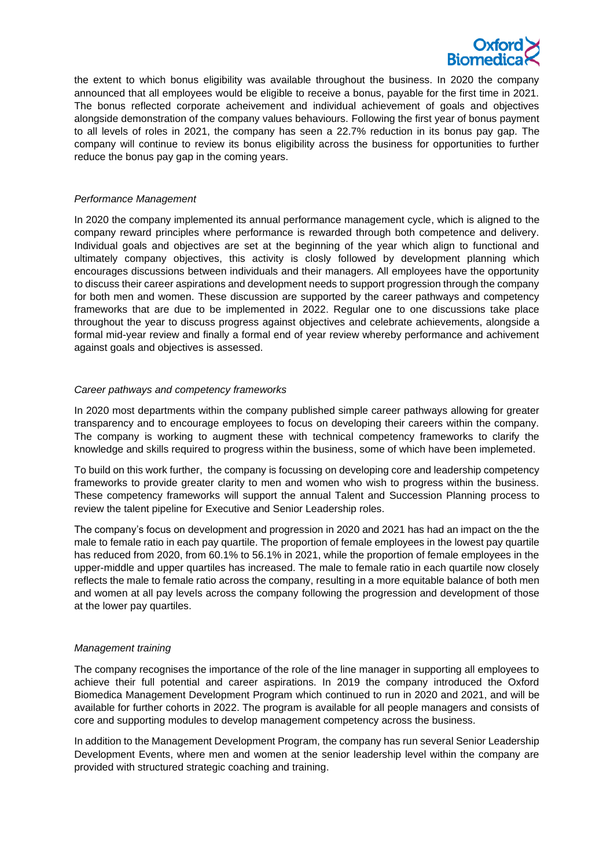

the extent to which bonus eligibility was available throughout the business. In 2020 the company announced that all employees would be eligible to receive a bonus, payable for the first time in 2021. The bonus reflected corporate acheivement and individual achievement of goals and objectives alongside demonstration of the company values behaviours. Following the first year of bonus payment to all levels of roles in 2021, the company has seen a 22.7% reduction in its bonus pay gap. The company will continue to review its bonus eligibility across the business for opportunities to further reduce the bonus pay gap in the coming years.

## *Performance Management*

In 2020 the company implemented its annual performance management cycle, which is aligned to the company reward principles where performance is rewarded through both competence and delivery. Individual goals and objectives are set at the beginning of the year which align to functional and ultimately company objectives, this activity is closly followed by development planning which encourages discussions between individuals and their managers. All employees have the opportunity to discuss their career aspirations and development needs to support progression through the company for both men and women. These discussion are supported by the career pathways and competency frameworks that are due to be implemented in 2022. Regular one to one discussions take place throughout the year to discuss progress against objectives and celebrate achievements, alongside a formal mid-year review and finally a formal end of year review whereby performance and achivement against goals and objectives is assessed.

## *Career pathways and competency frameworks*

In 2020 most departments within the company published simple career pathways allowing for greater transparency and to encourage employees to focus on developing their careers within the company. The company is working to augment these with technical competency frameworks to clarify the knowledge and skills required to progress within the business, some of which have been implemeted.

To build on this work further, the company is focussing on developing core and leadership competency frameworks to provide greater clarity to men and women who wish to progress within the business. These competency frameworks will support the annual Talent and Succession Planning process to review the talent pipeline for Executive and Senior Leadership roles.

The company's focus on development and progression in 2020 and 2021 has had an impact on the the male to female ratio in each pay quartile. The proportion of female employees in the lowest pay quartile has reduced from 2020, from 60.1% to 56.1% in 2021, while the proportion of female employees in the upper-middle and upper quartiles has increased. The male to female ratio in each quartile now closely reflects the male to female ratio across the company, resulting in a more equitable balance of both men and women at all pay levels across the company following the progression and development of those at the lower pay quartiles.

#### *Management training*

The company recognises the importance of the role of the line manager in supporting all employees to achieve their full potential and career aspirations. In 2019 the company introduced the Oxford Biomedica Management Development Program which continued to run in 2020 and 2021, and will be available for further cohorts in 2022. The program is available for all people managers and consists of core and supporting modules to develop management competency across the business.

In addition to the Management Development Program, the company has run several Senior Leadership Development Events, where men and women at the senior leadership level within the company are provided with structured strategic coaching and training.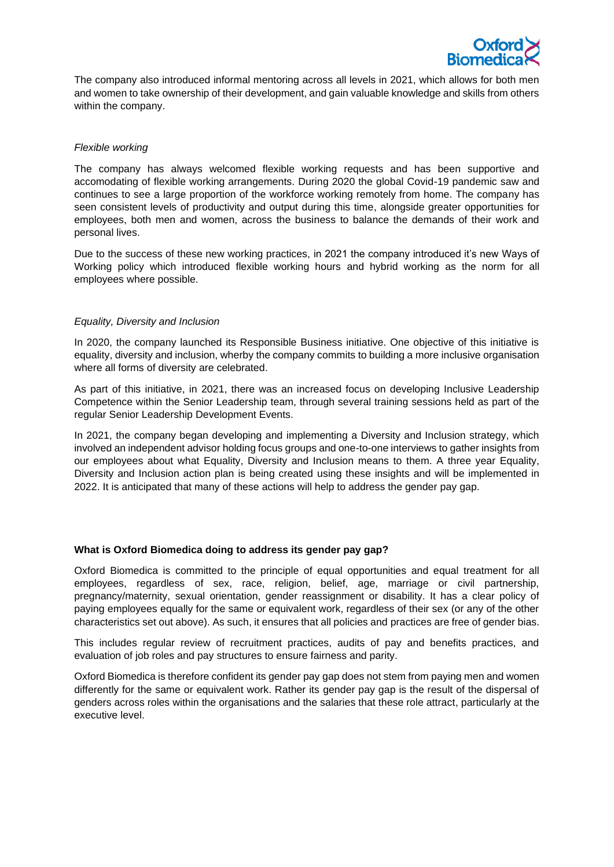

The company also introduced informal mentoring across all levels in 2021, which allows for both men and women to take ownership of their development, and gain valuable knowledge and skills from others within the company.

## *Flexible working*

The company has always welcomed flexible working requests and has been supportive and accomodating of flexible working arrangements. During 2020 the global Covid-19 pandemic saw and continues to see a large proportion of the workforce working remotely from home. The company has seen consistent levels of productivity and output during this time, alongside greater opportunities for employees, both men and women, across the business to balance the demands of their work and personal lives.

Due to the success of these new working practices, in 2021 the company introduced it's new Ways of Working policy which introduced flexible working hours and hybrid working as the norm for all employees where possible.

## *Equality, Diversity and Inclusion*

In 2020, the company launched its Responsible Business initiative. One objective of this initiative is equality, diversity and inclusion, wherby the company commits to building a more inclusive organisation where all forms of diversity are celebrated.

As part of this initiative, in 2021, there was an increased focus on developing Inclusive Leadership Competence within the Senior Leadership team, through several training sessions held as part of the regular Senior Leadership Development Events.

In 2021, the company began developing and implementing a Diversity and Inclusion strategy, which involved an independent advisor holding focus groups and one-to-one interviews to gather insights from our employees about what Equality, Diversity and Inclusion means to them. A three year Equality, Diversity and Inclusion action plan is being created using these insights and will be implemented in 2022. It is anticipated that many of these actions will help to address the gender pay gap.

## **What is Oxford Biomedica doing to address its gender pay gap?**

Oxford Biomedica is committed to the principle of equal opportunities and equal treatment for all employees, regardless of sex, race, religion, belief, age, marriage or civil partnership, pregnancy/maternity, sexual orientation, gender reassignment or disability. It has a clear policy of paying employees equally for the same or equivalent work, regardless of their sex (or any of the other characteristics set out above). As such, it ensures that all policies and practices are free of gender bias.

This includes regular review of recruitment practices, audits of pay and benefits practices, and evaluation of job roles and pay structures to ensure fairness and parity.

Oxford Biomedica is therefore confident its gender pay gap does not stem from paying men and women differently for the same or equivalent work. Rather its gender pay gap is the result of the dispersal of genders across roles within the organisations and the salaries that these role attract, particularly at the executive level.